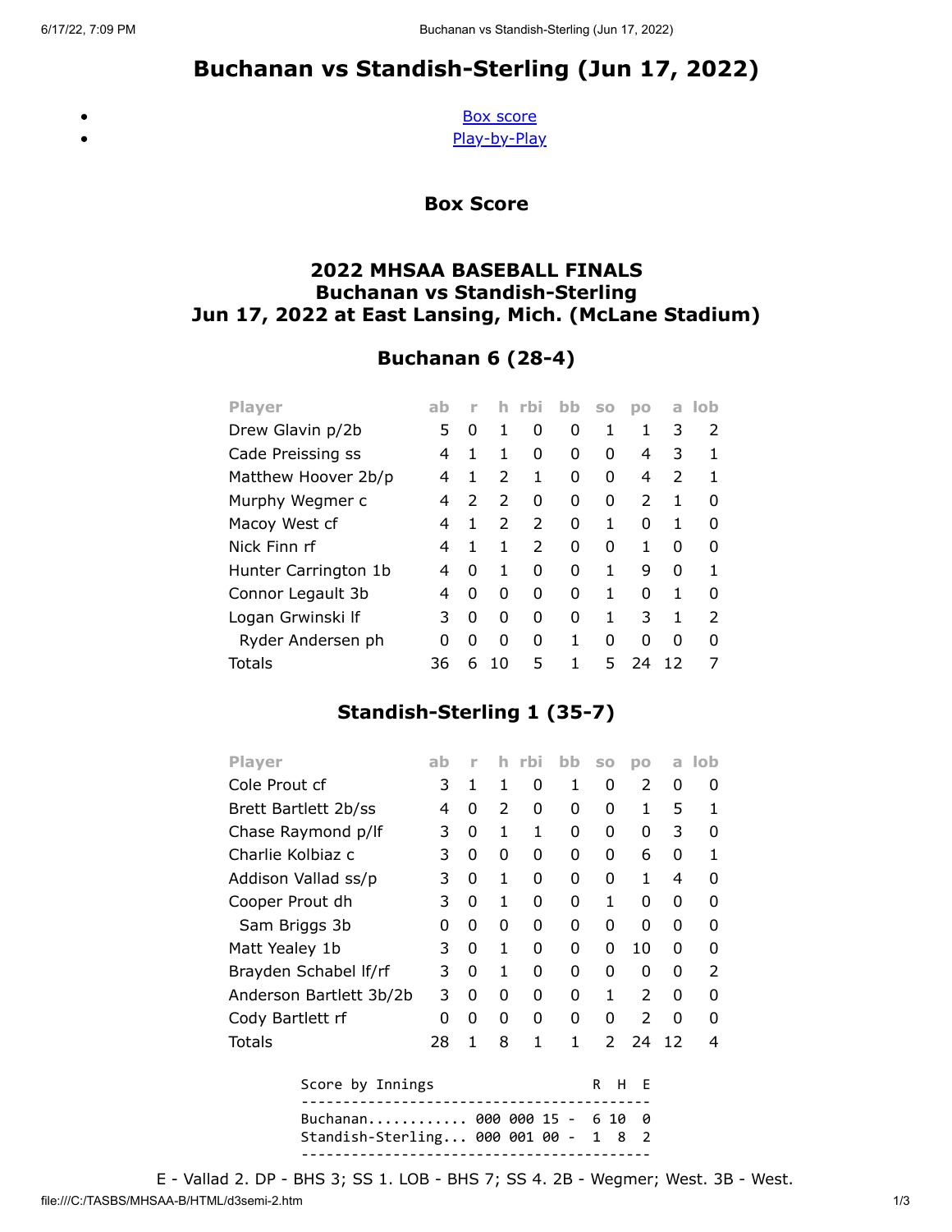# Buchanan vs Standish-Sterling (Jun 17, 2022)

<span id="page-0-0"></span> $\bullet$  $\bullet$ 

[Box score](#page-0-0) [Play-by-Play](#page-1-0)

Box Score

### 2022 MHSAA BASEBALL FINALS Buchanan vs Standish-Sterling Jun 17, 2022 at East Lansing, Mich. (McLane Stadium)

## Buchanan 6 (28-4)

| <b>Player</b>        | ab |               | h.            | rbi           | bb | S <sub>0</sub> | pо            | a             | lob           |
|----------------------|----|---------------|---------------|---------------|----|----------------|---------------|---------------|---------------|
| Drew Glavin p/2b     | 5  | O             | 1             | 0             | 0  | 1              | 1             | 3             | 2             |
| Cade Preissing ss    | 4  | 1             | 1             | 0             | 0  | 0              | 4             | 3             | 1             |
| Matthew Hoover 2b/p  | 4  | 1             | $\mathcal{P}$ | 1             | 0  | 0              | 4             | $\mathcal{L}$ | 1             |
| Murphy Wegmer c      | 4  | $\mathcal{P}$ | $\mathcal{P}$ | 0             | O  | 0              | $\mathcal{P}$ | 1             | ŋ             |
| Macoy West cf        | 4  | 1             | $\mathcal{P}$ | $\mathcal{P}$ | 0  | 1              | O             | 1             | ŋ             |
| Nick Finn rf         | 4  | 1             | 1             | 2             | 0  | 0              | 1             | 0             | ŋ             |
| Hunter Carrington 1b | 4  | O             | 1             | 0             | 0  | 1              | 9             | 0             | 1             |
| Connor Legault 3b    | 4  | O             | 0             | 0             | 0  | 1              | 0             | 1             | O             |
| Logan Grwinski If    | 3  | O             | 0             | O             | O  | 1              | 3             | 1             | $\mathcal{P}$ |
| Ryder Andersen ph    | ŋ  | O             | O             | O             | 1  | O              | O             | O             | O             |
| Totals               | 36 | 6             | 10            | 5             | 1  | 5              | 24            |               |               |

### Standish-Sterling 1 (35-7)

| <b>Player</b>                               | ab | n |   | h rbi | bb | <b>SO</b> | DO            | a  | lob |
|---------------------------------------------|----|---|---|-------|----|-----------|---------------|----|-----|
| Cole Prout cf                               |    | 1 | 1 | 0     | 1  | 0         | 2             | 0  | 0   |
| Brett Bartlett 2b/ss                        | 4  | 0 | 2 | 0     | 0  | 0         | 1             | 5  | 1   |
| Chase Raymond p/lf                          |    | 0 | 1 | 1     | 0  | 0         | 0             | 3  | O   |
| Charlie Kolbiaz c                           |    | 0 | 0 | 0     | 0  | 0         | 6             | 0  | 1   |
| Addison Vallad ss/p                         |    | 0 | 1 | 0     | 0  | 0         | 1             | 4  | U   |
| Cooper Prout dh                             | 3  | 0 | 1 | 0     | 0  | 1         | 0             | 0  | O   |
| Sam Briggs 3b                               |    | 0 | 0 | 0     | 0  | 0         | 0             | 0  | O   |
| Matt Yealey 1b                              |    | 0 | 1 | 0     | 0  | 0         | 10            | 0  | 0   |
| Brayden Schabel If/rf                       |    | 0 | 1 | 0     | 0  | 0         | 0             | 0  | 2   |
| Anderson Bartlett 3b/2b                     |    | 0 | 0 | 0     | 0  | 1         | 2             | 0  | 0   |
| Cody Bartlett rf                            |    | 0 | 0 | 0     | 0  | 0         | $\mathcal{P}$ | 0  | O   |
| Totals                                      | 28 | 1 | 8 | 1     | 1  | 2         | 24            | 12 | 4   |
| Score by Innings<br>н<br>E<br>R             |    |   |   |       |    |           |               |    |     |
| Buchanan 000 000 15<br>10<br>6<br>0         |    |   |   |       |    |           |               |    |     |
| Standish-Sterling 000 001 00<br>2<br>8<br>1 |    |   |   |       |    |           |               |    |     |
|                                             |    |   |   |       |    |           |               |    |     |

file:///C:/TASBS/MHSAA-B/HTML/d3semi-2.htm 1/3 E - Vallad 2. DP - BHS 3; SS 1. LOB - BHS 7; SS 4. 2B - Wegmer; West. 3B - West.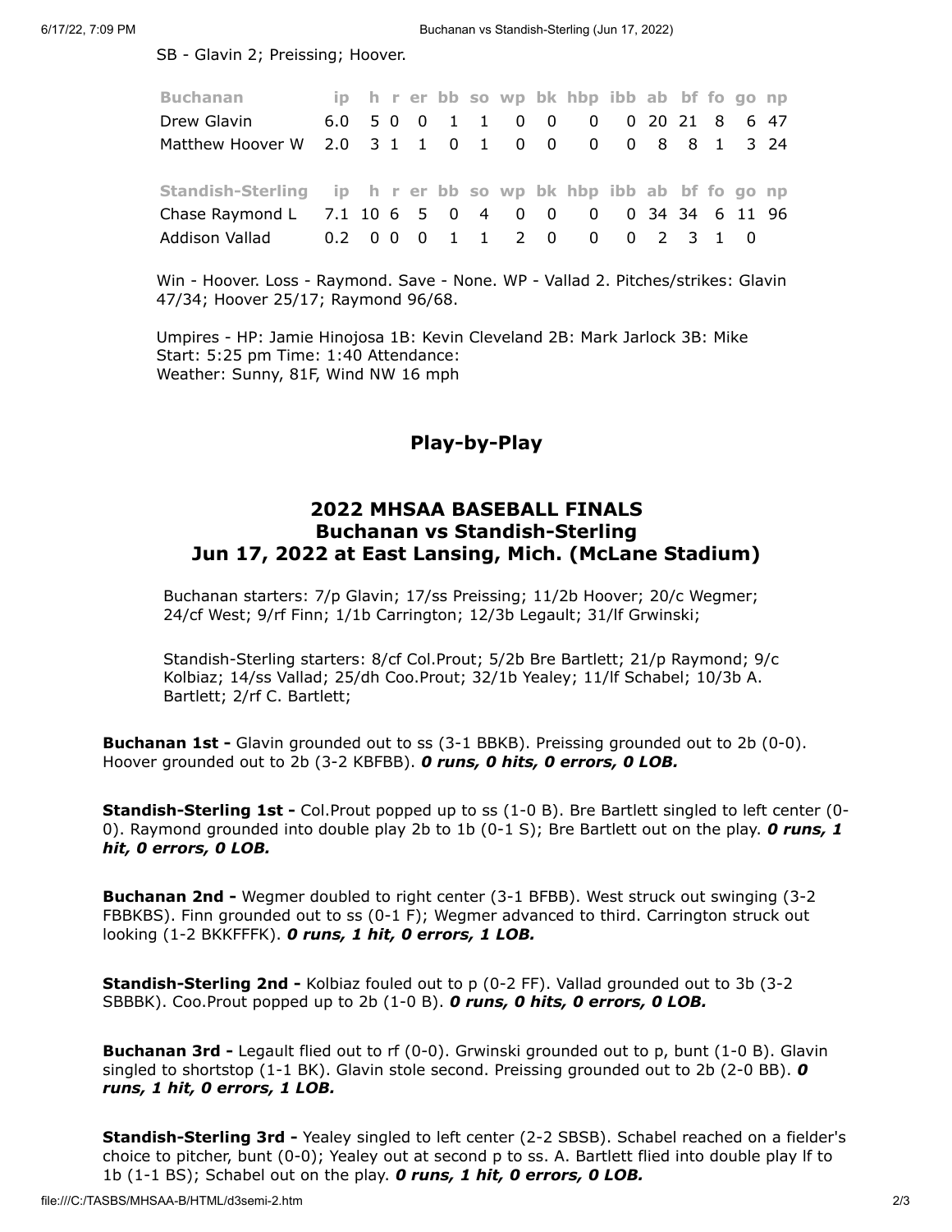SB - Glavin 2; Preissing; Hoover.

| <b>Buchanan</b>                                                |  |  |  |  | ip h r er bb so wp bk hbp ibb ab bf fo go np |  |  |  |
|----------------------------------------------------------------|--|--|--|--|----------------------------------------------|--|--|--|
| Drew Glavin                                                    |  |  |  |  | 6.0 5 0 0 1 1 0 0 0 0 20 21 8 6 47           |  |  |  |
| Matthew Hoover W 2.0 3 1 1 0 1 0 0 0 0 8 8 1 3 24              |  |  |  |  |                                              |  |  |  |
| Standish-Sterling ip h r er bb so wp bk hbp ibb ab bf fo go np |  |  |  |  |                                              |  |  |  |
|                                                                |  |  |  |  |                                              |  |  |  |
| Chase Raymond L 7.1 10 6 5 0 4 0 0 0 0 34 34 6 11 96           |  |  |  |  |                                              |  |  |  |
|                                                                |  |  |  |  |                                              |  |  |  |

Win - Hoover. Loss - Raymond. Save - None. WP - Vallad 2. Pitches/strikes: Glavin 47/34; Hoover 25/17; Raymond 96/68.

<span id="page-1-0"></span>Umpires - HP: Jamie Hinojosa 1B: Kevin Cleveland 2B: Mark Jarlock 3B: Mike Start: 5:25 pm Time: 1:40 Attendance: Weather: Sunny, 81F, Wind NW 16 mph

#### Play-by-Play

#### 2022 MHSAA BASEBALL FINALS Buchanan vs Standish-Sterling Jun 17, 2022 at East Lansing, Mich. (McLane Stadium)

Buchanan starters: 7/p Glavin; 17/ss Preissing; 11/2b Hoover; 20/c Wegmer; 24/cf West; 9/rf Finn; 1/1b Carrington; 12/3b Legault; 31/lf Grwinski;

Standish-Sterling starters: 8/cf Col.Prout; 5/2b Bre Bartlett; 21/p Raymond; 9/c Kolbiaz; 14/ss Vallad; 25/dh Coo.Prout; 32/1b Yealey; 11/lf Schabel; 10/3b A. Bartlett; 2/rf C. Bartlett;

**Buchanan 1st** - Glavin grounded out to ss (3-1 BBKB). Preissing grounded out to 2b (0-0). Hoover grounded out to 2b (3-2 KBFBB). O runs, O hits, O errors, O LOB.

Standish-Sterling 1st - Col.Prout popped up to ss (1-0 B). Bre Bartlett singled to left center (0- 0). Raymond grounded into double play 2b to 1b (0-1 S); Bre Bartlett out on the play. O runs, 1 hit, 0 errors, 0 LOB.

Buchanan 2nd - Wegmer doubled to right center (3-1 BFBB). West struck out swinging (3-2 FBBKBS). Finn grounded out to ss (0-1 F); Wegmer advanced to third. Carrington struck out looking (1-2 BKKFFFK). O runs, 1 hit, 0 errors, 1 LOB.

Standish-Sterling 2nd - Kolbiaz fouled out to p (0-2 FF). Vallad grounded out to 3b (3-2 SBBBK). Coo.Prout popped up to 2b  $(1-0 B)$ . O runs, O hits, O errors, O LOB.

**Buchanan 3rd -** Legault flied out to rf  $(0-0)$ . Grwinski grounded out to p, bunt  $(1-0 B)$ . Glavin singled to shortstop (1-1 BK). Glavin stole second. Preissing grounded out to 2b (2-0 BB). O runs, 1 hit, 0 errors, 1 LOB.

Standish-Sterling 3rd - Yealey singled to left center (2-2 SBSB). Schabel reached on a fielder's choice to pitcher, bunt (0-0); Yealey out at second p to ss. A. Bartlett flied into double play lf to 1b  $(1-1)$  BS); Schabel out on the play. O runs, 1 hit, O errors, O LOB.